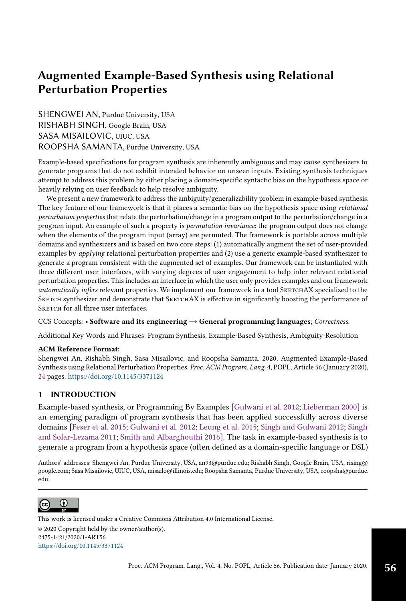# Augmented Example-Based Synthesis using Relational Perturbation Properties

SHENGWEI AN, Purdue University, USA RISHABH SINGH, Google Brain, USA SASA MISAILOVIC, UIUC, USA ROOPSHA SAMANTA, Purdue University, USA

Example-based specifications for program synthesis are inherently ambiguous and may cause synthesizers to generate programs that do not exhibit intended behavior on unseen inputs. Existing synthesis techniques attempt to address this problem by either placing a domain-specific syntactic bias on the hypothesis space or heavily relying on user feedback to help resolve ambiguity.

We present a new framework to address the ambiguity/generalizability problem in example-based synthesis. The key feature of our framework is that it places a semantic bias on the hypothesis space using *relational* perturbation properties that relate the perturbation/change in a program output to the perturbation/change in a program input. An example of such a property is permutation invariance: the program output does not change when the elements of the program input (array) are permuted. The framework is portable across multiple domains and synthesizers and is based on two core steps: (1) automatically augment the set of user-provided examples by applying relational perturbation properties and (2) use a generic example-based synthesizer to generate a program consistent with the augmented set of examples. Our framework can be instantiated with three different user interfaces, with varying degrees of user engagement to help infer relevant relational perturbation properties. This includes an interface in which the user only provides examples and our framework automatically infers relevant properties. We implement our framework in a tool SKETCHAX specialized to the SKETCH synthesizer and demonstrate that SKETCHAX is effective in significantly boosting the performance of SKETCH for all three user interfaces.

CCS Concepts: · Software and its engineering → General programming languages; Correctness.

Additional Key Words and Phrases: Program Synthesis, Example-Based Synthesis, Ambiguity-Resolution

# ACM Reference Format:

Shengwei An, Rishabh Singh, Sasa Misailovic, and Roopsha Samanta. 2020. Augmented Example-Based Synthesis using Relational Perturbation Properties. Proc. ACM Program. Lang. 4, POPL, Article 56 (January 2020), [24](#page-23-0) pages. <https://doi.org/10.1145/3371124>

# <span id="page-0-0"></span>1 INTRODUCTION

Example-based synthesis, or Programming By Examples [\[Gulwani et al. 2012;](#page-23-1) [Lieberman 2000\]](#page-23-2) is an emerging paradigm of program synthesis that has been applied successfully across diverse domains [\[Feser et al.](#page-22-0) [2015;](#page-22-0) [Gulwani et al.](#page-23-1) [2012;](#page-23-1) [Leung et al.](#page-23-3) [2015;](#page-23-3) [Singh and Gulwani 2012;](#page-23-4) [Singh](#page-23-5) [and Solar-Lezama 2011;](#page-23-5) [Smith and Albarghouthi 2016\]](#page-23-6). The task in example-based synthesis is to generate a program from a hypothesis space (often defined as a domain-specific language or DSL)

Authors' addresses: Shengwei An, Purdue University, USA, an93@purdue.edu; Rishabh Singh, Google Brain, USA, rising@ google.com; Sasa Misailovic, UIUC, USA, misailo@illinois.edu; Roopsha Samanta, Purdue University, USA, roopsha@purdue. edu.



© 2020 Copyright held by the owner/author(s). 2475-1421/2020/1-ART56 <https://doi.org/10.1145/3371124> [This work is licensed under a Creative Commons Attribution 4.0 International License.](http://creativecommons.org/licenses/by/4.0/)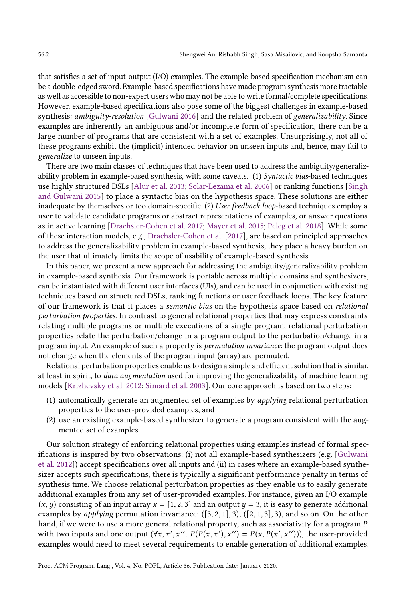that satisfies a set of input-output (I/O) examples. The example-based specification mechanism can be a double-edged sword. Example-based specifications have made program synthesis more tractable as well as accessible to non-expert users who may not be able to write formal/complete specifications. However, example-based specifications also pose some of the biggest challenges in example-based synthesis: ambiguity-resolution [\[Gulwani 2016\]](#page-23-7) and the related problem of generalizability. Since examples are inherently an ambiguous and/or incomplete form of specification, there can be a large number of programs that are consistent with a set of examples. Unsurprisingly, not all of these programs exhibit the (implicit) intended behavior on unseen inputs and, hence, may fail to generalize to unseen inputs.

There are two main classes of techniques that have been used to address the ambiguity/generalizability problem in example-based synthesis, with some caveats. (1) Syntactic bias-based techniques use highly structured DSLs [\[Alur et al.](#page-22-1) [2013;](#page-22-1) [Solar-Lezama et al.](#page-23-8) [2006\]](#page-23-8) or ranking functions [\[Singh](#page-23-9) [and Gulwani 2015\]](#page-23-9) to place a syntactic bias on the hypothesis space. These solutions are either inadequate by themselves or too domain-specific. (2) User feedback loop-based techniques employ a user to validate candidate programs or abstract representations of examples, or answer questions as in active learning [\[Drachsler-Cohen et al.](#page-22-2) [2017;](#page-22-2) [Mayer et al.](#page-23-10) [2015;](#page-23-10) [Peleg et al.](#page-23-11) [2018\]](#page-23-11). While some of these interaction models, e.g., [Drachsler-Cohen et al.](#page-22-2) [\[2017\]](#page-22-2), are based on principled approaches to address the generalizability problem in example-based synthesis, they place a heavy burden on the user that ultimately limits the scope of usability of example-based synthesis.

In this paper, we present a new approach for addressing the ambiguity/generalizability problem in example-based synthesis. Our framework is portable across multiple domains and synthesizers, can be instantiated with different user interfaces (UIs), and can be used in conjunction with existing techniques based on structured DSLs, ranking functions or user feedback loops. The key feature of our framework is that it places a semantic bias on the hypothesis space based on relational perturbation properties. In contrast to general relational properties that may express constraints relating multiple programs or multiple executions of a single program, relational perturbation properties relate the perturbation/change in a program output to the perturbation/change in a program input. An example of such a property is permutation invariance: the program output does not change when the elements of the program input (array) are permuted.

Relational perturbation properties enable us to design a simple and efficient solution that is similar, at least in spirit, to data augmentation used for improving the generalizability of machine learning models [\[Krizhevsky et al. 2012;](#page-23-12) [Simard et al. 2003\]](#page-23-13). Our core approach is based on two steps:

- (1) automatically generate an augmented set of examples by applying relational perturbation properties to the user-provided examples, and
- (2) use an existing example-based synthesizer to generate a program consistent with the augmented set of examples.

Our solution strategy of enforcing relational properties using examples instead of formal specifications is inspired by two observations: (i) not all example-based synthesizers (e.g. [\[Gulwani](#page-23-1) [et al.](#page-23-1) [2012\]](#page-23-1)) accept specifications over all inputs and (ii) in cases where an example-based synthesizer accepts such specifications, there is typically a significant performance penalty in terms of synthesis time. We choose relational perturbation properties as they enable us to easily generate additional examples from any set of user-provided examples. For instance, given an I/O example  $(x, y)$  consisting of an input array  $x = [1, 2, 3]$  and an output  $y = 3$ , it is easy to generate additional examples by *applying* permutation invariance:  $([3, 2, 1], 3)$ ,  $([2, 1, 3], 3)$ , and so on. On the other hand, if we were to use a more general relational property, such as associativity for a program P with two inputs and one output  $(\forall x, x', x'', P(P(x, x'), x'') = P(x, P(x', x''))$ , the user-provided examples would need to meet several requirements to enable generation of additional examples.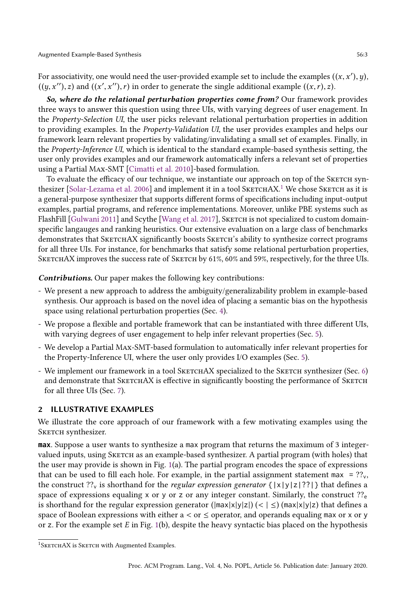For associativity, one would need the user-provided example set to include the examples  $((x, x'), y)$ ,  $((y, x''), z)$  and  $((x', x''), r)$  in order to generate the single additional example  $((x, r), z)$ .

So, where do the relational perturbation properties come from? Our framework provides three ways to answer this question using three UIs, with varying degrees of user enagement. In the Property-Selection UI, the user picks relevant relational perturbation properties in addition to providing examples. In the Property-Validation UI, the user provides examples and helps our framework learn relevant properties by validating/invalidating a small set of examples. Finally, in the Property-Inference UI, which is identical to the standard example-based synthesis setting, the user only provides examples and our framework automatically infers a relevant set of properties using a Partial Max-SMT [\[Cimatti et al. 2010\]](#page-22-3)-based formulation.

To evaluate the efficacy of our technique, we instantiate our approach on top of the SKETCH syn-thesizer [\[Solar-Lezama et al.](#page-23-8) [2006\]](#page-23-8) and implement it in a tool  $\rm SkETCHAX.^1$  $\rm SkETCHAX.^1$  We chose  $\rm SkETCH$  as it is a general-purpose synthesizer that supports different forms of specifications including input-output examples, partial programs, and reference implementations. Moreover, unlike PBE systems such as FlashFill [\[Gulwani 2011\]](#page-22-4) and Scythe [\[Wang et al.](#page-23-14) [2017\]](#page-23-14), SKETCH is not specialized to custom domainspecific langauges and ranking heuristics. Our extensive evaluation on a large class of benchmarks demonstrates that SKETCHAX significantly boosts SKETCH's ability to synthesize correct programs for all three UIs. For instance, for benchmarks that satisfy some relational perturbation properties, SKETCHAX improves the success rate of SKETCH by 61%, 60% and 59%, respectively, for the three UIs.

Contributions. Our paper makes the following key contributions:

- We present a new approach to address the ambiguity/generalizability problem in example-based synthesis. Our approach is based on the novel idea of placing a semantic bias on the hypothesis space using relational perturbation properties (Sec. [4\)](#page-5-0).
- We propose a flexible and portable framework that can be instantiated with three different UIs, with varying degrees of user engagement to help infer relevant properties (Sec. [5\)](#page-8-0).
- We develop a Partial Max-SMT-based formulation to automatically infer relevant properties for the Property-Inference UI, where the user only provides I/O examples (Sec. [5\)](#page-8-0).
- We implement our framework in a tool SKETCHAX specialized to the SKETCH synthesizer (Sec. [6\)](#page-11-0) and demonstrate that SKETCHAX is effective in significantly boosting the performance of SKETCH for all three UIs (Sec. [7\)](#page-13-0).

# <span id="page-2-1"></span>2 ILLUSTRATIVE EXAMPLES

We illustrate the core approach of our framework with a few motivating examples using the SKETCH synthesizer.

max. Suppose a user wants to synthesize a max program that returns the maximum of 3 integervalued inputs, using SKETCH as an example-based synthesizer. A partial program (with holes) that the user may provide is shown in Fig. [1\(](#page-3-0)a). The partial program encodes the space of expressions that can be used to fill each hole. For example, in the partial assignment statement max =  $?$ ?<sub>y</sub>, the construct ??<sub>v</sub> is shorthand for the *regular expression generator* { $|x|y|z|$ ??}} that defines a space of expressions equaling x or y or z or any integer constant. Similarly, the construct  $?$ <sup>2</sup><sub>e</sub> is shorthand for the regular expression generator ( $|\text{max}|x|y|z|$ ) (<  $|\leq$ ) ( $|\text{max}|x|y|z|$ ) that defines a space of Boolean expressions with either  $a < or \leq$  operator, and operands equaling max or x or y or z. For the example set  $E$  in Fig. [1\(](#page-3-0)b), despite the heavy syntactic bias placed on the hypothesis

<span id="page-2-0"></span><sup>&</sup>lt;sup>1</sup>SKETCHAX is SKETCH with Augmented Examples.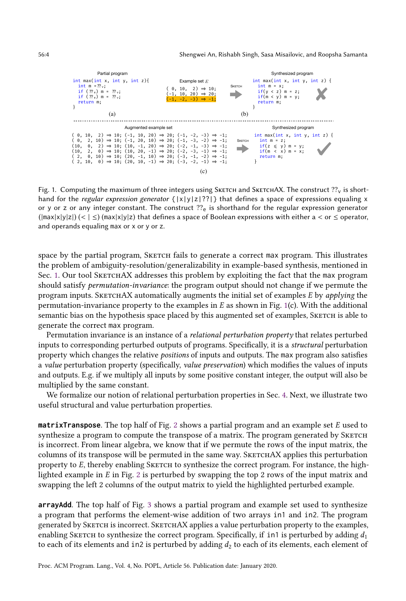<span id="page-3-0"></span>

Fig. 1. Computing the maximum of three integers using SKETCH and SKETCHAX. The construct  $?$ <sup>7</sup> v is shorthand for the regular expression generator  $\{|x|y|z|??|\}$  that defines a space of expressions equaling x or y or z or any integer constant. The construct  $?$ ?<sub>e</sub> is shorthand for the regular expression generator  $(\vert max \vert x \vert y \vert z)$   $(< \vert \leq)$  (max $\vert x \vert y \vert z$ ) that defines a space of Boolean expressions with either a  $<$  or  $\leq$  operator, and operands equaling max or x or y or z.

space by the partial program, SKETCH fails to generate a correct max program. This illustrates the problem of ambiguity-resolution/generalizability in example-based synthesis, mentioned in Sec. [1.](#page-0-0) Our tool SKETCHAX addresses this problem by exploiting the fact that the max program should satisfy permutation-invariance: the program output should not change if we permute the program inputs. SKETCHAX automatically augments the initial set of examples E by applying the permutation-invariance property to the examples in  $E$  as shown in Fig. [1\(](#page-3-0)c). With the additional semantic bias on the hypothesis space placed by this augmented set of examples, SKETCH is able to generate the correct max program.

Permutation invariance is an instance of a *relational perturbation property* that relates perturbed inputs to corresponding perturbed outputs of programs. Specifically, it is a structural perturbation property which changes the relative positions of inputs and outputs. The max program also satisfies a value perturbation property (specifically, value preservation) which modifies the values of inputs and outputs. E.g. if we multiply all inputs by some positive constant integer, the output will also be multiplied by the same constant.

We formalize our notion of relational perturbation properties in Sec. [4.](#page-5-0) Next, we illustrate two useful structural and value perturbation properties.

**matrixTranspose.** The top half of Fig. [2](#page-4-0) shows a partial program and an example set  $E$  used to synthesize a program to compute the transpose of a matrix. The program generated by SKETCH is incorrect. From linear algebra, we know that if we permute the rows of the input matrix, the columns of its transpose will be permuted in the same way. SKETCHAX applies this perturbation property to  $E$ , thereby enabling SKETCH to synthesize the correct program. For instance, the highlighted example in  $E$  in Fig. [2](#page-4-0) is perturbed by swapping the top 2 rows of the input matrix and swapping the left 2 columns of the output matrix to yield the highlighted perturbed example.

arrayAdd. The top half of Fig. [3](#page-4-1) shows a partial program and example set used to synthesize a program that performs the element-wise addition of two arrays in1 and in2. The program generated by SKETCH is incorrect. SKETCHAX applies a value perturbation property to the examples, enabling SKETCH to synthesize the correct program. Specifically, if in1 is perturbed by adding  $d_1$ to each of its elements and in2 is perturbed by adding  $d_2$  to each of its elements, each element of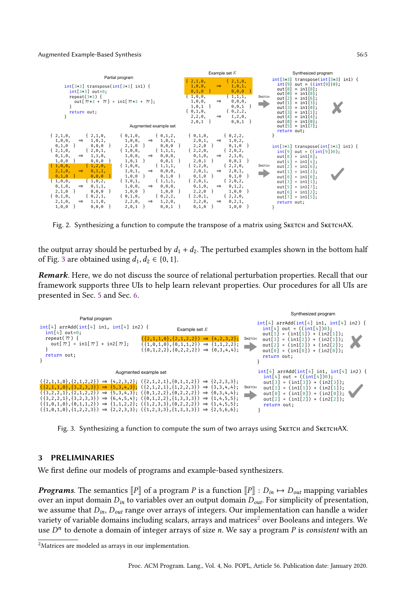#### Augmented Example-Based Synthesis 56:5

<span id="page-4-0"></span>

Fig. 2. Synthesizing a function to compute the transpose of a matrix using SKETCH and SKETCHAX.

the output array should be perturbed by  $d_1 + d_2$ . The perturbed examples shown in the bottom half of Fig. [3](#page-4-1) are obtained using  $d_1, d_2 \in \{0, 1\}.$ 

Remark. Here, we do not discuss the source of relational perturbation properties. Recall that our framework supports three UIs to help learn relevant properties. Our procedures for all UIs are presented in Sec. [5](#page-8-0) and Sec. [6.](#page-11-0)

<span id="page-4-1"></span>

Fig. 3. Synthesizing a function to compute the sum of two arrays using SKETCH and SKETCHAX.

## <span id="page-4-3"></span>3 PRELIMINARIES

We first define our models of programs and example-based synthesizers.

**Programs.** The semantics  $\llbracket P \rrbracket$  of a program P is a function  $\llbracket P \rrbracket$  :  $D_{in} \mapsto D_{out}$  mapping variables over an input domain  $D_{in}$  to variables over an output domain  $D_{out}$ . For simplicity of presentation, we assume that  $D_{in}$ ,  $D_{out}$  range over arrays of integers. Our implementation can handle a wider variety of variable domains including scalars, arrays and matrices<sup>[2](#page-4-2)</sup> over Booleans and integers. We use  $D^n$  to denote a domain of integer arrays of size n. We say a program P is consistent with an

<span id="page-4-2"></span><sup>2</sup>Matrices are modeled as arrays in our implementation.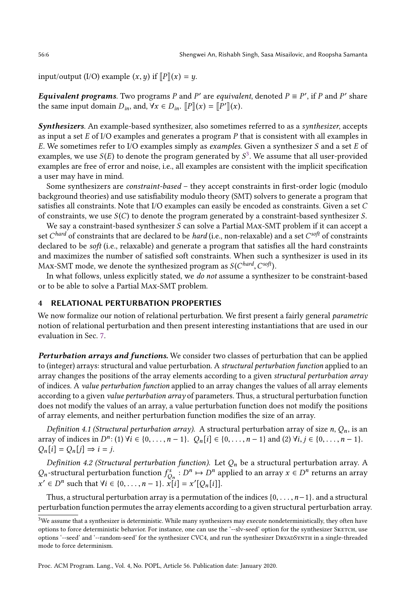input/output (I/O) example  $(x, y)$  if  $\llbracket P \rrbracket(x) = y$ .

*Equivalent programs.* Two programs P and P' are equivalent, denoted  $P \equiv P'$ , if P and P' share the same input domain  $D_{in}$ , and,  $\forall x \in D_{in}$ .  $\llbracket P \rrbracket(x) = \llbracket P' \rrbracket(x)$ .

Synthesizers. An example-based synthesizer, also sometimes referred to as a synthesizer, accepts as input a set  $E$  of I/O examples and generates a program  $P$  that is consistent with all examples in E. We sometimes refer to I/O examples simply as *examples*. Given a synthesizer S and a set E of examples, we use  $S(E)$  to denote the program generated by  $S^3$  $S^3$ . We assume that all user-provided examples are free of error and noise, i.e., all examples are consistent with the implicit specification a user may have in mind.

Some synthesizers are *constraint-based* – they accept constraints in first-order logic (modulo background theories) and use satisfiability modulo theory (SMT) solvers to generate a program that satisfies all constraints. Note that I/O examples can easily be encoded as constraints. Given a set C of constraints, we use  $S(C)$  to denote the program generated by a constraint-based synthesizer S.

We say a constraint-based synthesizer  $S$  can solve a Partial MAx-SMT problem if it can accept a set  $C^{hard}$  of constraints that are declared to be *hard* (i.e., non-relaxable) and a set  $C^{soft}$  of constraints declared to be soft (i.e., relaxable) and generate a program that satisfies all the hard constraints and maximizes the number of satisfied soft constraints. When such a synthesizer is used in its MAx-SMT mode, we denote the synthesized program as  $\mathcal{S}(C^{hard},C^{soft}).$ 

In what follows, unless explicitly stated, we do not assume a synthesizer to be constraint-based or to be able to solve a Partial Max-SMT problem.

## <span id="page-5-0"></span>4 RELATIONAL PERTURBATION PROPERTIES

We now formalize our notion of relational perturbation. We first present a fairly general *parametric* notion of relational perturbation and then present interesting instantiations that are used in our evaluation in Sec. [7.](#page-13-0)

Perturbation arrays and functions. We consider two classes of perturbation that can be applied to (integer) arrays: structural and value perturbation. A structural perturbation function applied to an array changes the positions of the array elements according to a given structural perturbation array of indices. A value perturbation function applied to an array changes the values of all array elements according to a given value perturbation array of parameters. Thus, a structural perturbation function does not modify the values of an array, a value perturbation function does not modify the positions of array elements, and neither perturbation function modifies the size of an array.

Definition 4.1 (Structural perturbation array). A structural perturbation array of size n,  $Q_n$ , is an array of indices in  $D^n$ : (1)  $\forall i \in \{0, ..., n-1\}$ .  $Q_n[i] \in \{0, ..., n-1\}$  and (2)  $\forall i, j \in \{0, ..., n-1\}$ .  $Q_n[i] = Q_n[j] \Rightarrow i = j.$ 

Definition 4.2 (Structural perturbation function). Let  $Q_n$  be a structural perturbation array. A  $Q_n$ -structural perturbation function  $f_{Q_n}^s : D^n \mapsto D^n$  applied to an array  $x \in D^n$  returns an array  $x' \in D^n$  such that  $\forall i \in \{0, ..., n-1\}$ .  $\sum_{i=1}^{n} i = x' [Q_n[i]]$ .

Thus, a structural perturbation array is a permutation of the indices  $\{0, \ldots, n-1\}$ . and a structural perturbation function permutes the array elements according to a given structural perturbation array.

<span id="page-5-1"></span> $3$ We assume that a synthesizer is deterministic. While many synthesizers may execute nondeterministically, they often have options to force deterministic behavior. For instance, one can use the '--slv-seed' option for the synthesizer SKETCH, use options '--seed' and '--random-seed' for the synthesizer CVC4, and run the synthesizer DryadSynth in a single-threaded mode to force determinism.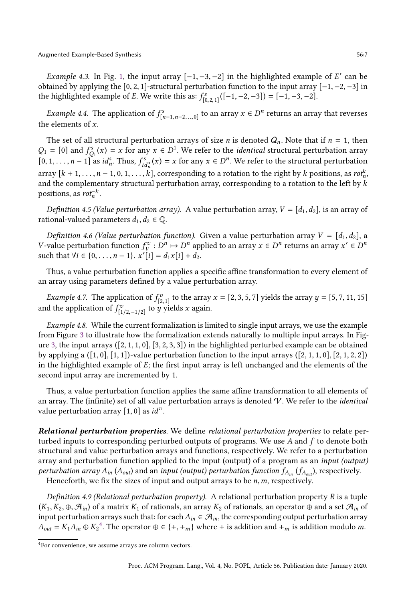Augmented Example-Based Synthesis 56:7

Example 4.3. In Fig. [1,](#page-3-0) the input array  $[-1, -3, -2]$  in the highlighted example of E' can be obtained by applying the [0, 2, 1]-structural perturbation function to the input array  $[-1, -2, -3]$  in the highlighted example of *E*. We write this as:  $f_{[0,2,1]}^s([-1,-2,-3]) = [-1,-3,-2]$ .

*Example 4.4.* The application of  $f_{[n-1,n-2...,0]}^s$  to an array  $x \in D^n$  returns an array that reverses the elements of  $x$ .

The set of all structural perturbation arrays of size *n* is denoted  $Q_n$ . Note that if  $n = 1$ , then  $Q_1 = [0]$  and  $f_{Q_1}^s(x) = x$  for any  $x \in D^1$ . We refer to the *identical* structural perturbation array  $[0, 1, \ldots, n-1]$  as  $id_n^s$ . Thus,  $f_{id_n^s}^s(x) = x$  for any  $x \in D^n$ . We refer to the structural perturbation array  $[k + 1, \ldots, n - 1, 0, 1, \ldots, k]$ , corresponding to a rotation to the right by k positions, as  $rot_n^k$ , and the complementary structural perturbation array, corresponding to a rotation to the left by  $k$ positions, as  $rot<sub>n</sub><sup>-k</sup>$ .

Definition 4.5 (Value perturbation array). A value perturbation array,  $V = [d_1, d_2]$ , is an array of rational-valued parameters  $d_1, d_2 \in \mathbb{Q}$ .

Definition 4.6 (Value perturbation function). Given a value perturbation array  $V = [d_1, d_2]$ , a *V*-value perturbation function  $f_V^v : D^n \mapsto D^n$  applied to an array  $x \in D^n$  returns an array  $x' \in D^n$ such that  $\forall i \in \{0, ..., n-1\}$ .  $x'[i] = d_1x[i] + d_2$ .

Thus, a value perturbation function applies a specific affine transformation to every element of an array using parameters defined by a value perturbation array.

*Example 4.7.* The application of  $f_{[2,1]}^v$  to the array  $x = [2, 3, 5, 7]$  yields the array  $y = [5, 7, 11, 15]$ and the application of  $f^v_{[1/2,-1/2]}$  to  $\hat{y}$  yields x again.

Example 4.8. While the current formalization is limited to single input arrays, we use the example from Figure [3](#page-4-1) to illustrate how the formalization extends naturally to multiple input arrays. In Fig-ure [3,](#page-4-1) the input arrays  $([2, 1, 1, 0], [3, 2, 3, 3])$  in the highlighted perturbed example can be obtained by applying a  $([1, 0], [1, 1])$ -value perturbation function to the input arrays  $([2, 1, 1, 0], [2, 1, 2, 2])$ in the highlighted example of  $E$ ; the first input array is left unchanged and the elements of the second input array are incremented by 1.

Thus, a value perturbation function applies the same affine transformation to all elements of an array. The (infinite) set of all value perturbation arrays is denoted  $V$ . We refer to the *identical* value perturbation array  $[1, 0]$  as  $id^v$ .

Relational perturbation properties. We define relational perturbation properties to relate perturbed inputs to corresponding perturbed outputs of programs. We use  $A$  and  $f$  to denote both structural and value perturbation arrays and functions, respectively. We refer to a perturbation array and perturbation function applied to the input (output) of a program as an *input (output)* perturbation array  $A_{in}$  ( $A_{out}$ ) and an input (output) perturbation function  $f_{A_{in}}$  ( $f_{A_{out}}$ ), respectively. Henceforth, we fix the sizes of input and output arrays to be  $n, m$ , respectively.

Definition 4.9 (Relational perturbation property). A relational perturbation property  $R$  is a tuple  $(K_1, K_2, \oplus, \mathcal{A}_{in})$  of a matrix  $K_1$  of rationals, an array  $K_2$  of rationals, an operator  $\oplus$  and a set  $\mathcal{A}_{in}$  of input perturbation arrays such that: for each  $A_{in} \in \mathcal{A}_{in}$ , the corresponding output perturbation array  $A_{out} = K_1 A_{in} \oplus K_2^4$  $A_{out} = K_1 A_{in} \oplus K_2^4$ . The operator  $\oplus \in \{+, +_m\}$  where + is addition and  $+_m$  is addition modulo m.

<span id="page-6-0"></span><sup>4</sup>For convenience, we assume arrays are column vectors.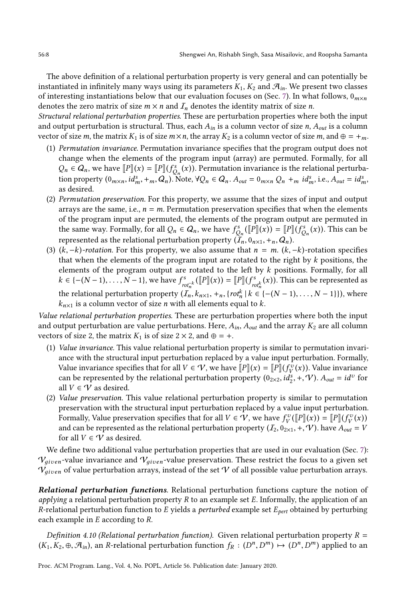The above definition of a relational perturbation property is very general and can potentially be instantiated in infinitely many ways using its parameters  $K_1$ ,  $K_2$  and  $\mathcal{A}_{in}$ . We present two classes of interesting instantiations below that our evaluation focuses on (Sec. [7\)](#page-13-0). In what follows,  $0_{m\times n}$ denotes the zero matrix of size  $m \times n$  and  $I_n$  denotes the identity matrix of size *n*.

Structural relational perturbation properties. These are perturbation properties where both the input and output perturbation is structural. Thus, each  $A_{in}$  is a column vector of size n,  $A_{out}$  is a column vector of size m, the matrix K<sub>1</sub> is of size  $m \times n$ , the array K<sub>2</sub> is a column vector of size m, and  $\oplus = +m$ .

- (1) Permutation invariance. Permutation invariance specifies that the program output does not change when the elements of the program input (array) are permuted. Formally, for all  $Q_n \in Q_n$ , we have  $[![P]](x) = [[![P]](f_{Q_n}^s(x))$ . Permutation invariance is the relational perturbation property  $(0_{m\times n}, id_m^s, +_m, Q_n)$ . Note,  $\forall Q_n \in Q_n$ .  $A_{out} = 0_{m\times n} Q_n +_m id_m^s$ , i.e.,  $A_{out} = id_m^s$ as desired.
- (2) Permutation preservation. For this property, we assume that the sizes of input and output arrays are the same, i.e.,  $n = m$ . Permutation preservation specifies that when the elements of the program input are permuted, the elements of the program output are permuted in the same way. Formally, for all  $Q_n \in Q_n$ , we have  $f_{Q_n}^s(\llbracket \hat{P} \rrbracket(x)) = \llbracket P \rrbracket(\hat{f}_{Q_n}^s(x))$ . This can be represented as the relational perturbation property  $(I_n, 0_{n \times 1}, +_n, Q_n)$ .
- (3)  $(k, -k)$ -rotation. For this property, we also assume that  $n = m$ .  $(k, -k)$ -rotation specifies that when the elements of the program input are rotated to the right by  $k$  positions, the elements of the program output are rotated to the left by  $k$  positions. Formally, for all  $k \in \{-(N-1), \ldots, N-1\}$ , we have  $f_{rot_n^{-k}}^s([\![P]\!](x)) = [\![P]\!](f_{rot_n^{k}}^s(x))$ . This can be represented as the relational perturbation property  $(I_n, k_{n \times 1}, +_n, \{rot_n^k \mid k \in \{-(N-1), \ldots, N-1\}\})$ , where  $k_{n\times 1}$  is a column vector of size *n* with all elements equal to *k*.

Value relational perturbation properties. These are perturbation properties where both the input and output perturbation are value perturbations. Here,  $A_{in}$ ,  $A_{out}$  and the array  $K_2$  are all column vectors of size 2, the matrix  $K_1$  is of size  $2 \times 2$ , and  $\oplus = +$ .

- (1) Value invariance. This value relational perturbation property is similar to permutation invariance with the structural input perturbation replaced by a value input perturbation. Formally, Value invariance specifies that for all  $V \in \mathcal{V}$ , we have  $[ P ] ](x) = [P ] ](f_V^v(x))$ . Value invariance can be represented by the relational perturbation property  $(0_{2\times 2}, id_2^s, +, \mathcal{V})$ .  $A_{out} = id^{\nu}$  for all  $V \in \mathcal{V}$  as desired.
- (2) Value preservation. This value relational perturbation property is similar to permutation preservation with the structural input perturbation replaced by a value input perturbation. Formally, Value preservation specifies that for all  $V \in V$ , we have  $f_V^v(\llbracket P \rrbracket(x)) = \llbracket P \rrbracket(f_V^v(x))$ and can be represented as the relational perturbation property  $(I_2, 0_{2\times1}, +, \mathcal{V})$ . have  $A_{out} = V$ for all  $V \in V$  as desired.

We define two additional value perturbation properties that are used in our evaluation (Sec. [7\)](#page-13-0):  $V_{given}$ -value invariance and  $V_{given}$ -value preservation. These restrict the focus to a given set  $V_{given}$  of value perturbation arrays, instead of the set V of all possible value perturbation arrays.

Relational perturbation functions. Relational perturbation functions capture the notion of applying a relational perturbation property  $R$  to an example set  $E$ . Informally, the application of an R-relational perturbation function to E yields a *perturbed* example set  $E_{pert}$  obtained by perturbing each example in E according to R.

<span id="page-7-0"></span>Definition 4.10 (Relational perturbation function). Given relational perturbation property  $R =$  $(K_1, K_2, \oplus, \mathcal{A}_{in})$ , an R-relational perturbation function  $f_R: (D^n, D^m) \mapsto (D^n, D^m)$  applied to an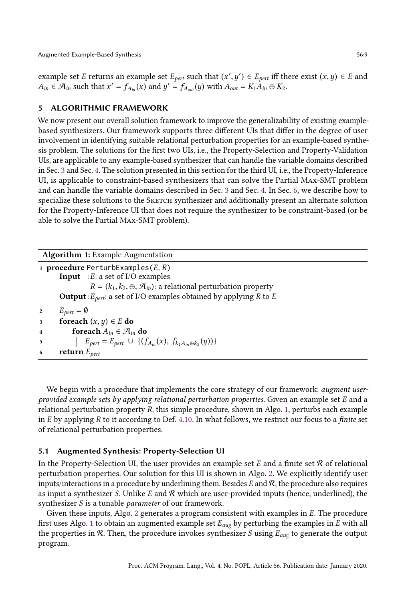example set E returns an example set  $E_{pert}$  such that  $(x', y') \in E_{pert}$  iff there exist  $(x, y) \in E$  and  $A_{in} \in \mathcal{A}_{in}$  such that  $x' = f_{A_{in}}(x)$  and  $y' = f_{A_{out}}(y)$  with  $A_{out} = K_1 A_{in} \oplus K_2$ .

## <span id="page-8-0"></span>5 ALGORITHMIC FRAMEWORK

We now present our overall solution framework to improve the generalizability of existing examplebased synthesizers. Our framework supports three different UIs that differ in the degree of user involvement in identifying suitable relational perturbation properties for an example-based synthesis problem. The solutions for the first two UIs, i.e., the Property-Selection and Property-Validation UIs, are applicable to any example-based synthesizer that can handle the variable domains described in Sec. [3](#page-4-3) and Sec. [4.](#page-5-0) The solution presented in this section for the third UI, i.e., the Property-Inference UI, is applicable to constraint-based synthesizers that can solve the Partial Max-SMT problem and can handle the variable domains described in Sec. [3](#page-4-3) and Sec. [4.](#page-5-0) In Sec. [6,](#page-11-0) we describe how to specialize these solutions to the SKETCH synthesizer and additionally present an alternate solution for the Property-Inference UI that does not require the synthesizer to be constraint-based (or be able to solve the Partial Max-SMT problem).

| <b>Algorithm 1:</b> Example Augmentation                                                      |  |  |  |  |  |  |  |  |
|-----------------------------------------------------------------------------------------------|--|--|--|--|--|--|--|--|
| 1 <b>procedure</b> PerturbExamples $(E, R)$                                                   |  |  |  |  |  |  |  |  |
| <b>Input</b> : $E$ : a set of I/O examples                                                    |  |  |  |  |  |  |  |  |
| $R = (k_1, k_2, \oplus, \mathcal{A}_{in})$ : a relational perturbation property               |  |  |  |  |  |  |  |  |
| <b>Output</b> : $E_{pert}$ : a set of I/O examples obtained by applying R to E                |  |  |  |  |  |  |  |  |
| $E_{pert} = \emptyset$<br>$\overline{2}$                                                      |  |  |  |  |  |  |  |  |
| foreach $(x, y) \in E$ do<br>3                                                                |  |  |  |  |  |  |  |  |
| foreach $A_{in} \in \mathcal{A}_{in}$ do<br>$\overline{\mathbf{4}}$                           |  |  |  |  |  |  |  |  |
| $E_{pert} = E_{pert} \cup \{(f_{A_{in}}(x), f_{k_1A_{in} \oplus k_2}(y))\}$<br>$\overline{5}$ |  |  |  |  |  |  |  |  |
| return $E_{pert}$                                                                             |  |  |  |  |  |  |  |  |

<span id="page-8-1"></span>We begin with a procedure that implements the core strategy of our framework: *augment user*provided example sets by applying relational perturbation properties. Given an example set E and a relational perturbation property  $R$ , this simple procedure, shown in Algo. [1,](#page-8-1) perturbs each example in  $E$  by applying  $R$  to it according to Def. [4.10.](#page-7-0) In what follows, we restrict our focus to a *finite* set of relational perturbation properties.

#### 5.1 Augmented Synthesis: Property-Selection UI

In the Property-Selection UI, the user provides an example set  $E$  and a finite set  $\mathcal R$  of relational perturbation properties. Our solution for this UI is shown in Algo. [2.](#page-9-0) We explicitly identify user inputs/interactions in a procedure by underlining them. Besides  $E$  and  $R$ , the procedure also requires as input a synthesizer S. Unlike E and  $\mathcal R$  which are user-provided inputs (hence, underlined), the synthesizer S is a tunable parameter of our framework.

Given these inputs, Algo. [2](#page-9-0) generates a program consistent with examples in E. The procedure first uses Algo. [1](#page-8-1) to obtain an augmented example set  $E_{aug}$  by perturbing the examples in E with all the properties in  $R$ . Then, the procedure invokes synthesizer S using  $E_{aug}$  to generate the output program.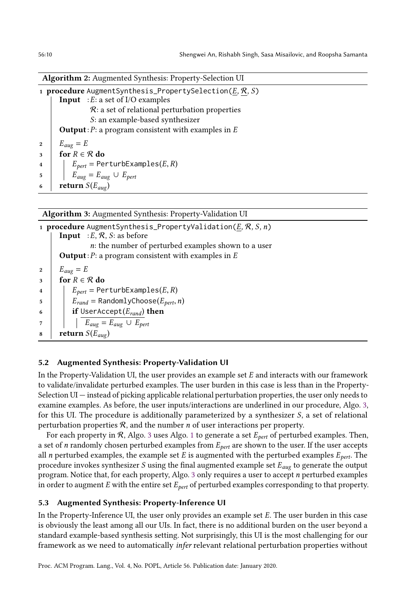Algorithm 2: Augmented Synthesis: Property-Selection UI 1 procedure AugmentSynthesis\_PropertySelection( $E, R, S$ ) **Input** :  $E$ : a set of I/O examples R: a set of relational perturbation properties S: an example-based synthesizer **Output**:  $P$ : a program consistent with examples in  $E$ 2  $E_{aug} = E$ 3 for  $R \in \mathcal{R}$  do 4 |  $E_{pert}$  = PerturbExamples(*E,R*) 5  $E_{aug} = E_{aug} \cup E_{pert}$ 6 return  $S(E_{aug})$ 

<span id="page-9-0"></span>Algorithm 3: Augmented Synthesis: Property-Validation UI

1 **procedure** AugmentSynthesis\_PropertyValidation( $E, R, S, n$ ) **Input** : E,  $\mathcal{R}$ , S: as before n: the number of perturbed examples shown to a user **Output**:  $P$ : a program consistent with examples in  $E$ 2  $E_{aug} = E$ 3 for  $R \in \mathcal{R}$  do 4 |  $E_{pert}$  = PerturbExamples(*E*, *R*)  $5 \mid \bigcup E_{rand} = \text{RandomlyChoose}(E_{pert},n)$ 6 if UserAccept $(E_{rand})$  then 7  $E_{aug} = E_{aug} \cup E_{pert}$  $\mathbf{s}$  return  $S(E_{aug})$ 

# <span id="page-9-1"></span>5.2 Augmented Synthesis: Property-Validation UI

In the Property-Validation UI, the user provides an example set  $E$  and interacts with our framework to validate/invalidate perturbed examples. The user burden in this case is less than in the Property-Selection  $UI$   $-$  instead of picking applicable relational perturbation properties, the user only needs to examine examples. As before, the user inputs/interactions are underlined in our procedure, Algo. [3,](#page-9-1) for this UI. The procedure is additionally parameterized by a synthesizer S, a set of relational perturbation properties  $R$ , and the number *n* of user interactions per property.

For each property in  $R$ , Algo. [3](#page-9-1) uses Algo. [1](#page-8-1) to generate a set  $E_{pert}$  of perturbed examples. Then, a set of n randomly chosen perturbed examples from  $E_{pert}$  are shown to the user. If the user accepts all *n* perturbed examples, the example set *E* is augmented with the perturbed examples  $E_{pert}$ . The procedure invokes synthesizer  $S$  using the final augmented example set  $E_{aug}$  to generate the output program. Notice that, for each property, Algo. [3](#page-9-1) only requires a user to accept n perturbed examples in order to augment E with the entire set  $E_{pert}$  of perturbed examples corresponding to that property.

# 5.3 Augmented Synthesis: Property-Inference UI

In the Property-Inference UI, the user only provides an example set E. The user burden in this case is obviously the least among all our UIs. In fact, there is no additional burden on the user beyond a standard example-based synthesis setting. Not surprisingly, this UI is the most challenging for our framework as we need to automatically infer relevant relational perturbation properties without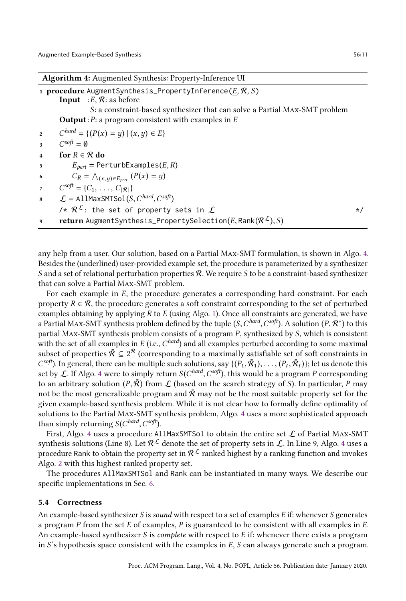|                 | <b>Algorithm 4:</b> Augmented Synthesis: Property-Inference UI                                                    |          |  |  |  |  |  |  |
|-----------------|-------------------------------------------------------------------------------------------------------------------|----------|--|--|--|--|--|--|
|                 | 1 <b>procedure</b> AugmentSynthesis_PropertyInference( $E, R, S$ )<br><b>Input</b> : E, $\mathcal{R}$ : as before |          |  |  |  |  |  |  |
|                 | S: a constraint-based synthesizer that can solve a Partial MAX-SMT problem                                        |          |  |  |  |  |  |  |
|                 | <b>Output</b> : $P$ : a program consistent with examples in $E$                                                   |          |  |  |  |  |  |  |
| $\overline{2}$  | $C^{hard} = \{ (P(x) = y)   (x, y) \in E \}$                                                                      |          |  |  |  |  |  |  |
| 3               | $C^{soft} = \emptyset$                                                                                            |          |  |  |  |  |  |  |
| $\overline{4}$  | for $R \in \mathcal{R}$ do                                                                                        |          |  |  |  |  |  |  |
| $5\phantom{.0}$ | $E_{pert}$ = PerturbExamples( <i>E</i> , <i>R</i> )                                                               |          |  |  |  |  |  |  |
| 6               | $C_R = \bigwedge_{(x,y)\in E_{pert}} (P(x) = y)$<br>C <sup>soft</sup> = {C <sub>1</sub> , , C <sub> R </sub> }    |          |  |  |  |  |  |  |
| $7\overline{ }$ |                                                                                                                   |          |  |  |  |  |  |  |
|                 | 8 $\mathcal{L} = \text{AllMaxSMTSol}(S, C^{hard}, C^{soft})$                                                      |          |  |  |  |  |  |  |
|                 | /* $\mathcal{R}^{\mathcal{L}}$ : the set of property sets in $\mathcal{L}$                                        | $\star/$ |  |  |  |  |  |  |
| $\mathbf{q}$    | <b>return</b> AugmentSynthesis_PropertySelection(E, Rank( $\mathcal{R}^{\mathcal{L}}$ ), S)                       |          |  |  |  |  |  |  |

<span id="page-10-0"></span>any help from a user. Our solution, based on a Partial Max-SMT formulation, is shown in Algo. [4.](#page-10-0) Besides the (underlined) user-provided example set, the procedure is parameterized by a synthesizer S and a set of relational perturbation properties  $\mathcal{R}$ . We require S to be a constraint-based synthesizer that can solve a Partial Max-SMT problem.

For each example in E, the procedure generates a corresponding hard constraint. For each property  $R \in \mathcal{R}$ , the procedure generates a soft constraint corresponding to the set of perturbed examples obtaining by applying  $R$  to  $E$  (using Algo. [1\)](#page-8-1). Once all constraints are generated, we have a Partial MAx-SMT synthesis problem defined by the tuple  $(S, C^{hard}, C^{soft})$ . A solution  $(P, \mathcal{R}^*)$  to this partial Max-SMT synthesis problem consists of a program P, synthesized by S, which is consistent with the set of all examples in  $E$  (i.e.,  $C^{hard}$ ) and all examples perturbed according to some maximal subset of properties  $\bar{\mathcal{R}} \subseteq 2^{\mathcal{R}}$  (corresponding to a maximally satisfiable set of soft constraints in C<sup>soft</sup>). In general, there can be multiple such solutions, say {( $P_1$ ,  $\bar{R}_1$ ), ..., ( $P_t$ ,  $\bar{R}_t$ )}; let us denote this set by  $\cal L$ . If Algo. [4](#page-10-0) were to simply return  ${\it S}({\it C}^{hard},{\it C}^{soft})$ , this would be a program  $P$  corresponding to an arbitrary solution (P,  $\bar{R}$ ) from L (based on the search strategy of S). In particular, P may not be the most generalizable program and  $\overline{R}$  may not be the most suitable property set for the given example-based synthesis problem. While it is not clear how to formally define optimality of solutions to the Partial Max-SMT synthesis problem, Algo. [4](#page-10-0) uses a more sophisticated approach than simply returning  $S(C^{hard}, C^{soft}).$ 

First, Algo. [4](#page-10-0) uses a procedure AllMaxSMTSol to obtain the entire set  $\mathcal L$  of Partial MAx-SMT synthesis solutions (Line 8). Let  $\mathcal{R}^\mathcal{L}$  denote the set of property sets in  $\mathcal{L}.$  In Line 9, Algo. [4](#page-10-0) uses a procedure Rank to obtain the property set in  $\mathcal{R}^{\mathcal{L}}$  ranked highest by a ranking function and invokes Algo. [2](#page-9-0) with this highest ranked property set.

The procedures AllMaxSMTSol and Rank can be instantiated in many ways. We describe our specific implementations in Sec. [6.](#page-11-0)

## 5.4 Correctness

An example-based synthesizer  $S$  is sound with respect to a set of examples  $E$  if: whenever  $S$  generates a program  $P$  from the set  $E$  of examples,  $P$  is guaranteed to be consistent with all examples in  $E$ . An example-based synthesizer S is *complete* with respect to  $E$  if: whenever there exists a program in S's hypothesis space consistent with the examples in  $E$ , S can always generate such a program.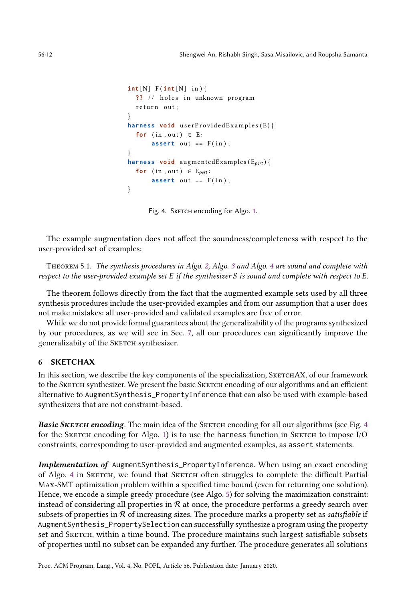```
int [N] F(int [N] in){
  ?? // holes in unknown program
  return out;
}
harness void userProvidedExamples(E){
 for (in, out) \in E:
      assert out == F(in);
}
harness void augmentedExamples (E_{\text{pert}}) {
  for (in, out) \in E_{pert}:
      assert out == F(in);
}
```
Fig. 4. Sketch encoding for Algo. [1.](#page-8-1)

The example augmentation does not affect the soundness/completeness with respect to the user-provided set of examples:

Theorem 5.1. The synthesis procedures in Algo. [2,](#page-9-0) Algo. [3](#page-9-1) and Algo. [4](#page-10-0) are sound and complete with respect to the user-provided example set E if the synthesizer S is sound and complete with respect to E.

The theorem follows directly from the fact that the augmented example sets used by all three synthesis procedures include the user-provided examples and from our assumption that a user does not make mistakes: all user-provided and validated examples are free of error.

While we do not provide formal guarantees about the generalizability of the programs synthesized by our procedures, as we will see in Sec. [7,](#page-13-0) all our procedures can significantly improve the generalizabity of the SKETCH synthesizer.

# <span id="page-11-0"></span>6 SKETCHAX

In this section, we describe the key components of the specialization, SKETCHAX, of our framework to the SKETCH synthesizer. We present the basic SKETCH encoding of our algorithms and an efficient alternative to AugmentSynthesis\_PropertyInference that can also be used with example-based synthesizers that are not constraint-based.

**Basic SKETCH encoding.** The main idea of the SKETCH encoding for all our algorithms (see Fig. [4](#page-11-1) for the SKETCH encoding for Algo. [1\)](#page-8-1) is to use the harness function in SKETCH to impose  $I/O$ constraints, corresponding to user-provided and augmented examples, as assert statements.

Implementation of AugmentSynthesis\_PropertyInference. When using an exact encoding of Algo. [4](#page-10-0) in Sketch, we found that Sketch often struggles to complete the difficult Partial Max-SMT optimization problem within a specified time bound (even for returning one solution). Hence, we encode a simple greedy procedure (see Algo. [5\)](#page-12-0) for solving the maximization constraint: instead of considering all properties in  $R$  at once, the procedure performs a greedy search over subsets of properties in  $R$  of increasing sizes. The procedure marks a property set as *satisfiable* if AugmentSynthesis\_PropertySelection can successfully synthesize a program using the property set and SKETCH, within a time bound. The procedure maintains such largest satisfiable subsets of properties until no subset can be expanded any further. The procedure generates all solutions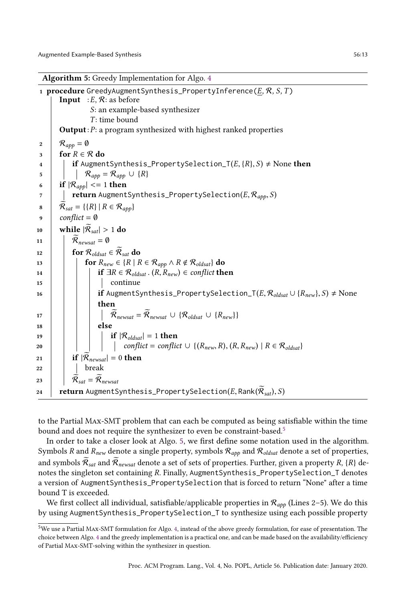Algorithm 5: Greedy Implementation for Algo. [4](#page-10-0)

1 procedure GreedyAugmentSynthesis\_PropertyInference( $E, R, S, T$ ) **Input** :  $E, R$ : as before S: an example-based synthesizer  $T:$  time bound **Output**:  $P$ : a program synthesized with highest ranked properties 2 |  $\mathcal{R}_{app} = \emptyset$  $3 \text{ for } R \in \mathcal{R}$  do 4 if AugmentSynthesis\_PropertySelection\_T $(E, {R}, S) \neq$ None then 5 | |  $\mathcal{R}_{app} = \mathcal{R}_{app} \cup \{R\}$ 6 if  $|\mathcal{R}_{app}| \leq 1$  then  $\tau$  | return AugmentSynthesis\_PropertySelection(E,  $\mathcal{R}_{\mathit{app}}, S$ ) 8 |  $\mathcal{R}_{sat} = \{\{R\} \mid R \in \mathcal{R}_{app}\}\$ 9  $conflict = \emptyset$ 10 while  $|\mathcal{R}_{sat}| > 1$  do 11  $\overline{\mathcal{R}}_{newsat} = \emptyset$ 12 for  $\mathcal{R}_{oldsat} \in \widetilde{\mathcal{R}}_{sat}$  do 13 **for**  $R_{new} \in \{R \mid R \in \mathcal{R}_{app} \land R \notin \mathcal{R}_{oldsat}\}\$  do 14 **if**  $\exists R \in \mathcal{R}_{\text{oldsat}}$ .  $(R, R_{\text{new}}) \in \text{conflict}$  then 15 | | | | continue 16 if AugmentSynthesis\_PropertySelection\_T $(E, \mathcal{R}_{oldsat} \cup \{R_{new}\}, S) \neq \text{None}$ then 17  $\vert$   $\vert$   $\vert$   $\vert$   $\widetilde{\mathcal{R}}_{newsat} = \widetilde{\mathcal{R}}_{newsat} \cup {\mathcal{R}_{oldsat} \cup {\{R_{new}\}\}}$  $18$  | | | else 19 | | | | if  $|\mathcal{R}_{\text{oldsat}}| = 1$  then 20 | | | | conflict = conflict  $\cup \{(R_{new}, R), (R, R_{new}) \mid R \in \mathcal{R}_{oldsat}\}$ 21 **if**  $|\mathcal{R}_{newsat}| = 0$  then  $22$  break 23 |  $\mathcal{R}_{sat} = \mathcal{R}_{newsat}$ 24 **return** AugmentSynthesis\_PropertySelection(E, Rank( $\hat{\mathcal{R}}_{sat}$ ), S)

<span id="page-12-0"></span>to the Partial Max-SMT problem that can each be computed as being satisfiable within the time bound and does not require the synthesizer to even be constraint-based.<sup>[5](#page-12-1)</sup>

In order to take a closer look at Algo. [5,](#page-12-0) we first define some notation used in the algorithm. Symbols R and  $R_{new}$  denote a single property, symbols  $R_{app}$  and  $R_{oldsat}$  denote a set of properties, and symbols  $\mathcal{\bar{R}}_{sat}$  and  $\mathcal{\bar{R}}_{newsat}$  denote a set of sets of properties. Further, given a property R, {R} denotes the singleton set containing R. Finally, AugmentSynthesis\_PropertySelection\_T denotes a version of AugmentSynthesis\_PropertySelection that is forced to return "None" after a time bound T is exceeded.

We first collect all individual, satisfiable/applicable properties in  $\mathcal{R}_{app}$  (Lines 2-5). We do this by using AugmentSynthesis\_PropertySelection\_T to synthesize using each possible property

<span id="page-12-1"></span><sup>5</sup>We use a Partial Max-SMT formulation for Algo. [4,](#page-10-0) instead of the above greedy formulation, for ease of presentation. The choice between Algo. [4](#page-10-0) and the greedy implementation is a practical one, and can be made based on the availability/efficiency of Partial Max-SMT-solving within the synthesizer in question.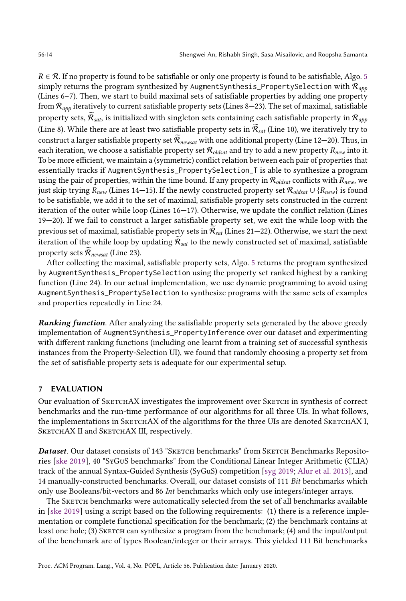$R \in \mathcal{R}$ . If no property is found to be satisfiable or only one property is found to be satisfiable, Algo. [5](#page-12-0) simply returns the program synthesized by AugmentSynthesis\_PropertySelection with  $\mathcal{R}_{app}$ (Lines  $6-7$ ). Then, we start to build maximal sets of satisfiable properties by adding one property from  $\mathcal{R}_{\textit{app}}$  iteratively to current satisfiable property sets (Lines 8–23). The set of maximal, satisfiable property sets,  $\widetilde{R}_{sat}$ , is initialized with singleton sets containing each satisfiable property in  $\mathcal{R}_{app}$ (Line 8). While there are at least two satisfiable property sets in  $\widetilde{\mathcal{R}}_{sat}$  (Line 10), we iteratively try to construct a larger satisfiable property set  $\widetilde{\mathcal{R}}_{newsat}$  with one additional property (Line 12–20). Thus, in each iteration, we choose a satisfiable property set  $\mathcal{R}_{oldsat}$  and try to add a new property  $R_{new}$  into it. To be more efficient, we maintain a (symmetric) conflict relation between each pair of properties that essentially tracks if AugmentSynthesis\_PropertySelection\_T is able to synthesize a program using the pair of properties, within the time bound. If any property in  $\mathcal{R}_{oldsat}$  conflicts with  $R_{new}$ , we just skip trying  $R_{new}$  (Lines 14–15). If the newly constructed property set  $\mathcal{R}_{oldsat} \cup \{R_{new}\}$  is found to be satisfiable, we add it to the set of maximal, satisfiable property sets constructed in the current iteration of the outer while loop (Lines  $16-17$ ). Otherwise, we update the conflict relation (Lines 19Ð20). If we fail to construct a larger satisfiable property set, we exit the while loop with the previous set of maximal, satisfiable property sets in  $\mathcal{R}_{sat}$  (Lines 21–22). Otherwise, we start the next iteration of the while loop by updating  $\mathcal{R}_{sat}$  to the newly constructed set of maximal, satisfiable property sets  $\mathcal{\tilde{R}}_{newsat}$  (Line 23).

After collecting the maximal, satisfiable property sets, Algo. [5](#page-12-0) returns the program synthesized by AugmentSynthesis\_PropertySelection using the property set ranked highest by a ranking function (Line 24). In our actual implementation, we use dynamic programming to avoid using AugmentSynthesis\_PropertySelection to synthesize programs with the same sets of examples and properties repeatedly in Line 24.

Ranking function. After analyzing the satisfiable property sets generated by the above greedy implementation of AugmentSynthesis\_PropertyInference over our dataset and experimenting with different ranking functions (including one learnt from a training set of successful synthesis instances from the Property-Selection UI), we found that randomly choosing a property set from the set of satisfiable property sets is adequate for our experimental setup.

# <span id="page-13-0"></span>7 EVALUATION

Our evaluation of SketchAX investigates the improvement over Sketch in synthesis of correct benchmarks and the run-time performance of our algorithms for all three UIs. In what follows, the implementations in SKETCHAX of the algorithms for the three UIs are denoted SKETCHAX I, SKETCHAX II and SKETCHAX III, respectively.

Dataset. Our dataset consists of 143 "SKETCH benchmarks" from SKETCH Benchmarks Repositories [\[ske 2019\]](#page-22-5), 40 "SyGuS benchmarks" from the Conditional Linear Integer Arithmetic (CLIA) track of the annual Syntax-Guided Synthesis (SyGuS) competition [\[syg 2019;](#page-22-6) [Alur et al.](#page-22-1) [2013\]](#page-22-1), and 14 manually-constructed benchmarks. Overall, our dataset consists of 111 Bit benchmarks which only use Booleans/bit-vectors and 86 Int benchmarks which only use integers/integer arrays.

The SKETCH benchmarks were automatically selected from the set of all benchmarks available in [\[ske 2019\]](#page-22-5) using a script based on the following requirements: (1) there is a reference implementation or complete functional specification for the benchmark; (2) the benchmark contains at least one hole; (3) Sketch can synthesize a program from the benchmark; (4) and the input/output of the benchmark are of types Boolean/integer or their arrays. This yielded 111 Bit benchmarks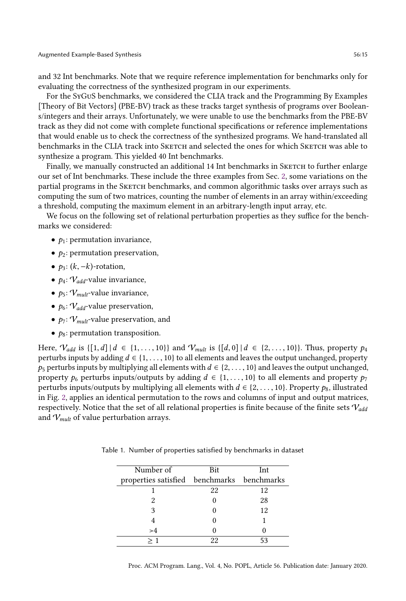and 32 Int benchmarks. Note that we require reference implementation for benchmarks only for evaluating the correctness of the synthesized program in our experiments.

For the SyGuS benchmarks, we considered the CLIA track and the Programming By Examples [Theory of Bit Vectors] (PBE-BV) track as these tracks target synthesis of programs over Booleans/integers and their arrays. Unfortunately, we were unable to use the benchmarks from the PBE-BV track as they did not come with complete functional specifications or reference implementations that would enable us to check the correctness of the synthesized programs. We hand-translated all benchmarks in the CLIA track into SKETCH and selected the ones for which SKETCH was able to synthesize a program. This yielded 40 Int benchmarks.

Finally, we manually constructed an additional 14 Int benchmarks in SKETCH to further enlarge our set of Int benchmarks. These include the three examples from Sec. [2,](#page-2-1) some variations on the partial programs in the SKETCH benchmarks, and common algorithmic tasks over arrays such as computing the sum of two matrices, counting the number of elements in an array within/exceeding a threshold, computing the maximum element in an arbitrary-length input array, etc.

We focus on the following set of relational perturbation properties as they suffice for the benchmarks we considered:

- $p_1$ : permutation invariance,
- $p_2$ : permutation preservation,
- $p_3$ :  $(k, -k)$ -rotation,
- $p_4$ :  $V_{add}$ -value invariance,
- $p_5$ :  $V_{mult}$ -value invariance,
- $p_6: V_{add}$ -value preservation,
- $p_7: V_{mult}$ -value preservation, and
- $p_8$ : permutation transposition.

Here,  $V_{add}$  is  $\{[1, d] | d \in \{1, ..., 10\}\}\$  and  $V_{mult}$  is  $\{[d, 0] | d \in \{2, ..., 10\}\}\$ . Thus, property  $p_4$ perturbs inputs by adding  $d \in \{1, \ldots, 10\}$  to all elements and leaves the output unchanged, property  $p_5$  perturbs inputs by multiplying all elements with  $d \in \{2, \ldots, 10\}$  and leaves the output unchanged, property  $p_6$  perturbs inputs/outputs by adding  $d \in \{1, \ldots, 10\}$  to all elements and property  $p_7$ perturbs inputs/outputs by multiplying all elements with  $d \in \{2, \ldots, 10\}$ . Property  $p_8$ , illustrated in Fig. [2,](#page-4-0) applies an identical permutation to the rows and columns of input and output matrices, respectively. Notice that the set of all relational properties is finite because of the finite sets  $V_{add}$ and  $V_{mult}$  of value perturbation arrays.

| Number of                                  | Bit | Int |  |  |  |
|--------------------------------------------|-----|-----|--|--|--|
| properties satisfied benchmarks benchmarks |     |     |  |  |  |
|                                            | 22  | 12  |  |  |  |
|                                            |     | 28  |  |  |  |
|                                            |     | 12  |  |  |  |
|                                            |     |     |  |  |  |
| >4                                         |     |     |  |  |  |
|                                            | າາ  |     |  |  |  |

<span id="page-14-0"></span>Table 1. Number of properties satisfied by benchmarks in dataset

Proc. ACM Program. Lang., Vol. 4, No. POPL, Article 56. Publication date: January 2020.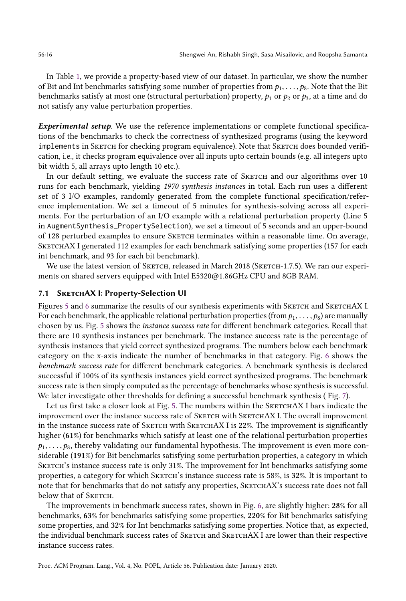In Table [1,](#page-14-0) we provide a property-based view of our dataset. In particular, we show the number of Bit and Int benchmarks satisfying some number of properties from  $p_1, \ldots, p_8$ . Note that the Bit benchmarks satisfy at most one (structural perturbation) property,  $p_1$  or  $p_2$  or  $p_3$ , at a time and do not satisfy any value perturbation properties.

Experimental setup. We use the reference implementations or complete functional specifications of the benchmarks to check the correctness of synthesized programs (using the keyword implements in SKETCH for checking program equivalence). Note that SKETCH does bounded verification, i.e., it checks program equivalence over all inputs upto certain bounds (e.g. all integers upto bit width 5, all arrays upto length 10 etc.).

In our default setting, we evaluate the success rate of SKETCH and our algorithms over 10 runs for each benchmark, yielding 1970 synthesis instances in total. Each run uses a different set of 3 I/O examples, randomly generated from the complete functional specification/reference implementation. We set a timeout of 5 minutes for synthesis-solving across all experiments. For the perturbation of an I/O example with a relational perturbation property (Line 5 in AugmentSynthesis\_PropertySelection), we set a timeout of 5 seconds and an upper-bound of 128 perturbed examples to ensure Sketch terminates within a reasonable time. On average, SKETCHAX I generated 112 examples for each benchmark satisfying some properties (157 for each int benchmark, and 93 for each bit benchmark).

We use the latest version of SKETCH, released in March 2018 (SKETCH-1.7.5). We ran our experiments on shared servers equipped with Intel E5320@1.86GHz CPU and 8GB RAM.

#### 7.1 SKETCHAX I: Property-Selection UI

Figures [5](#page-16-0) and [6](#page-16-1) summarize the results of our synthesis experiments with SKETCH and SKETCHAX I. For each benchmark, the applicable relational perturbation properties (from  $p_1, \ldots, p_8$ ) are manually chosen by us. Fig. [5](#page-16-0) shows the instance success rate for different benchmark categories. Recall that there are 10 synthesis instances per benchmark. The instance success rate is the percentage of synthesis instances that yield correct synthesized programs. The numbers below each benchmark category on the x-axis indicate the number of benchmarks in that category. Fig. [6](#page-16-1) shows the benchmark success rate for different benchmark categories. A benchmark synthesis is declared successful if 100% of its synthesis instances yield correct synthesized programs. The benchmark success rate is then simply computed as the percentage of benchmarks whose synthesis is successful. We later investigate other thresholds for defining a successful benchmark synthesis (Fig. [7\)](#page-16-2).

Let us first take a closer look at Fig. [5.](#page-16-0) The numbers within the SKETCHAX I bars indicate the improvement over the instance success rate of SKETCH with SKETCHAX I. The overall improvement in the instance success rate of SKETCH with SKETCHAX I is 22%. The improvement is significantly higher (61%) for benchmarks which satisfy at least one of the relational perturbation properties  $p_1, \ldots, p_8$ , thereby validating our fundamental hypothesis. The improvement is even more considerable (191%) for Bit benchmarks satisfying some perturbation properties, a category in which SKETCH's instance success rate is only 31%. The improvement for Int benchmarks satisfying some properties, a category for which SKETCH's instance success rate is 58%, is 32%. It is important to note that for benchmarks that do not satisfy any properties, SKETCHAX's success rate does not fall below that of SKETCH.

The improvements in benchmark success rates, shown in Fig. [6,](#page-16-1) are slightly higher: 28% for all benchmarks, 63% for benchmarks satisfying some properties, 220% for Bit benchmarks satisfying some properties, and 32% for Int benchmarks satisfying some properties. Notice that, as expected, the individual benchmark success rates of SKETCH and SKETCHAX I are lower than their respective instance success rates.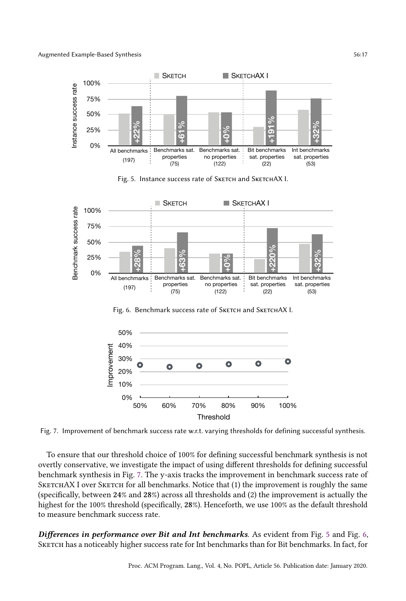<span id="page-16-0"></span>

Fig. 5. Instance success rate of SKETCH and SKETCHAX I.

<span id="page-16-1"></span>

<span id="page-16-2"></span>Fig. 7. Improvement of benchmark success rate w.r.t. varying thresholds for defining successful synthesis.

To ensure that our threshold choice of 100% for defining successful benchmark synthesis is not overtly conservative, we investigate the impact of using different thresholds for defining successful benchmark synthesis in Fig. [7.](#page-16-2) The y-axis tracks the improvement in benchmark success rate of SKETCHAX I over SKETCH for all benchmarks. Notice that (1) the improvement is roughly the same (specifically, between 24% and 28%) across all thresholds and (2) the improvement is actually the highest for the 100% threshold (specifically, 28%). Henceforth, we use 100% as the default threshold to measure benchmark success rate.

Differences in performance over Bit and Int benchmarks. As evident from Fig. [5](#page-16-0) and Fig. [6,](#page-16-1) SKETCH has a noticeably higher success rate for Int benchmarks than for Bit benchmarks. In fact, for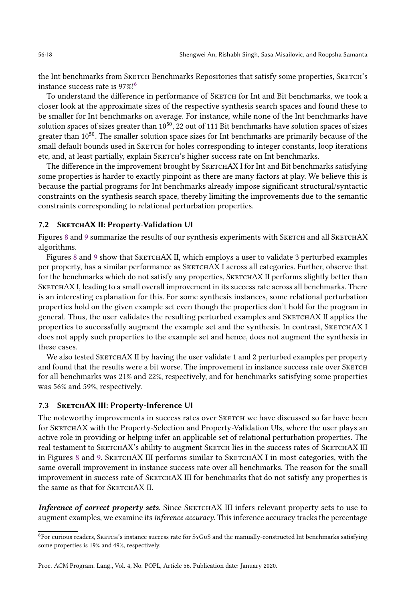the Int benchmarks from SKETCH Benchmarks Repositories that satisfy some properties, SKETCH's instance success rate is 97%![6](#page-17-0)

To understand the difference in performance of SKETCH for Int and Bit benchmarks, we took a closer look at the approximate sizes of the respective synthesis search spaces and found these to be smaller for Int benchmarks on average. For instance, while none of the Int benchmarks have solution spaces of sizes greater than  $10^{50}$ , 22 out of 111 Bit benchmarks have solution spaces of sizes greater than  $10^{50}$ . The smaller solution space sizes for Int benchmarks are primarily because of the small default bounds used in SKETCH for holes corresponding to integer constants, loop iterations etc, and, at least partially, explain SKETCH's higher success rate on Int benchmarks.

The difference in the improvement brought by SKETCHAX I for Int and Bit benchmarks satisfying some properties is harder to exactly pinpoint as there are many factors at play. We believe this is because the partial programs for Int benchmarks already impose significant structural/syntactic constraints on the synthesis search space, thereby limiting the improvements due to the semantic constraints corresponding to relational perturbation properties.

# 7.2 SKETCHAX II: Property-Validation UI

Figures [8](#page-18-0) and [9](#page-18-1) summarize the results of our synthesis experiments with SKETCH and all SKETCHAX algorithms.

Figures [8](#page-18-0) and [9](#page-18-1) show that SKETCHAX II, which employs a user to validate 3 perturbed examples per property, has a similar performance as SKETCHAX I across all categories. Further, observe that for the benchmarks which do not satisfy any properties, SKETCHAX II performs slightly better than SKETCHAX I, leading to a small overall improvement in its success rate across all benchmarks. There is an interesting explanation for this. For some synthesis instances, some relational perturbation properties hold on the given example set even though the properties don't hold for the program in general. Thus, the user validates the resulting perturbed examples and SKETCHAX II applies the properties to successfully augment the example set and the synthesis. In contrast, SKETCHAX I does not apply such properties to the example set and hence, does not augment the synthesis in these cases.

We also tested SKETCHAX II by having the user validate 1 and 2 perturbed examples per property and found that the results were a bit worse. The improvement in instance success rate over SKETCH for all benchmarks was 21% and 22%, respectively, and for benchmarks satisfying some properties was 56% and 59%, respectively.

# 7.3 SKETCHAX III: Property-Inference UI

The noteworthy improvements in success rates over SKETCH we have discussed so far have been for SKETCHAX with the Property-Selection and Property-Validation UIs, where the user plays an active role in providing or helping infer an applicable set of relational perturbation properties. The real testament to SKETCHAX's ability to augment SKETCH lies in the success rates of SKETCHAX III in Figures [8](#page-18-0) and [9.](#page-18-1) SKETCHAX III performs similar to SKETCHAX I in most categories, with the same overall improvement in instance success rate over all benchmarks. The reason for the small improvement in success rate of SketchAX III for benchmarks that do not satisfy any properties is the same as that for SKETCHAX II.

Inference of correct property sets. Since SKETCHAX III infers relevant property sets to use to augment examples, we examine its inference accuracy. This inference accuracy tracks the percentage

<span id="page-17-0"></span><sup>6</sup>For curious readers, Sketch's instance success rate for SyGuS and the manually-constructed Int benchmarks satisfying some properties is 19% and 49%, respectively.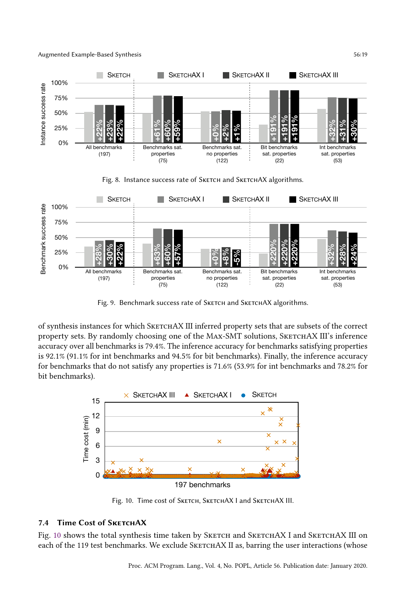#### Augmented Example-Based Synthesis 56:19

<span id="page-18-0"></span>

Fig. 8. Instance success rate of SKETCH and SKETCHAX algorithms.

<span id="page-18-1"></span>



## 100%

0% for benchmarks that do not satisfy any properties is 71.6% (53.9% for int benchmarks and 78.2% for is 92.1\$5(%1.1% for int benchmarks and 94.5% for bit benchmarks). Finally, the inference accuracy property sets. By randomly choosing one of the MAx-SMT solutions, SKETCHAX III's inference of synthesis instances for which SKETCHAX III inferred property sets that are subsets of the correct overview sat. prop. no prop. bit. sat. int. sat. accuracy over all benchmarks is 79.4%. The inference accuracy for benchmarks satisfying properties bit benchmarks). overview

<span id="page-18-2"></span>

Fig. 10. Time cost of SKETCH, SKETCHAX I and SKETCHAX III.

# 7.4 Time Cost of SKETCHAX

Fig. [10](#page-18-2) shows the total synthesis time taken by SKETCH and SKETCHAX I and SKETCHAX III on each of the 119 test benchmarks. We exclude SKETCHAX II as, barring the user interactions (whose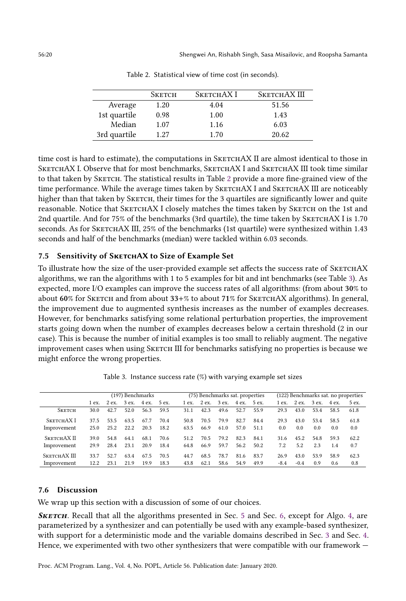<span id="page-19-0"></span>

|              | <b>SKETCH</b> | SKETCHAX I | SKETCHAX III |
|--------------|---------------|------------|--------------|
| Average      | 1.20          | 4.04       | 51.56        |
| 1st quartile | 0.98          | 1.00       | 1.43         |
| Median       | 1.07          | 1.16       | 6.03         |
| 3rd quartile | 1.27          | 1.70       | 20.62        |

Table 2. Statistical view of time cost (in seconds).

time cost is hard to estimate), the computations in SKETCHAX II are almost identical to those in SKETCHAX I. Observe that for most benchmarks, SKETCHAX I and SKETCHAX III took time similar to that taken by SKETCH. The statistical results in Table [2](#page-19-0) provide a more fine-grained view of the time performance. While the average times taken by SKETCHAX I and SKETCHAX III are noticeably higher than that taken by SKETCH, their times for the 3 quartiles are significantly lower and quite reasonable. Notice that SKETCHAX I closely matches the times taken by SKETCH on the 1st and 2nd quartile. And for 75% of the benchmarks (3rd quartile), the time taken by SKETCHAX I is 1.70 seconds. As for SKETCHAX III, 25% of the benchmarks (1st quartile) were synthesized within 1.43 seconds and half of the benchmarks (median) were tackled within 6.03 seconds.

# 7.5 Sensitivity of SKETCHAX to Size of Example Set

To illustrate how the size of the user-provided example set affects the success rate of SKETCHAX algorithms, we ran the algorithms with 1 to 5 examples for bit and int benchmarks (see Table [3\)](#page-19-1). As expected, more I/O examples can improve the success rates of all algorithms: (from about 30% to about 60% for SKETCH and from about 33+% to about 71% for SKETCHAX algorithms). In general, the improvement due to augmented synthesis increases as the number of examples decreases. However, for benchmarks satisfying some relational perturbation properties, the improvement starts going down when the number of examples decreases below a certain threshold (2 in our case). This is because the number of initial examples is too small to reliably augment. The negative improvement cases when using SKETCH III for benchmarks satisfying no properties is because we might enforce the wrong properties.

<span id="page-19-1"></span>

|               | (197) Benchmarks |      |           |       |       |      | (75) Benchmarks sat. properties |             |             |      |        | (122) Benchmarks sat. no properties |       |       |       |  |
|---------------|------------------|------|-----------|-------|-------|------|---------------------------------|-------------|-------------|------|--------|-------------------------------------|-------|-------|-------|--|
|               | 1ex.             |      | 2ex. 3ex. | 4 ex. | 5 ex. | 1ex. |                                 | 2 ex. 3 ex. | 4 ex. 5 ex. |      | 1 ex.  | 2 ex.                               | 3 ex. | 4 ex. | 5 ex. |  |
| <b>SKETCH</b> | 30.0             | 42.7 | 52.0      | 56.3  | 59.5  | 31.1 | 42.3                            | 49.6        | 52.7        | 55.9 | 29.3   | 43.0                                | 53.4  | 58.5  | 61.8  |  |
| SKETCHAX I    | 37.5             | 53.5 | 63.5      | 67.7  | 70.4  | 50.8 | 70.5                            | 79.9        | 82.7        | 84.4 | 29.3   | 43.0                                | 53.4  | 58.5  | 61.8  |  |
| Improvement   | 25.0             | 25.2 | 22.2      | 20.3  | 18.2  | 63.5 | 66.9                            | 61.0        | 57.0        | 51.1 | 0.0    | 0.0                                 | 0.0   | 0.0   | 0.0   |  |
| SKETCHAX II   | 39.0             | 54.8 | 64.1      | 68.1  | 70.6  | 51.2 | 70.5                            | 79 2        | 82.3        | 84.1 | 31.6   | 45.2                                | 54.8  | 59.3  | 62.2  |  |
| Improvement   | 29.9             | 28.4 | 23.1      | 20.9  | 18.4  | 64.8 | 66.9                            | 59.7        | 56.2        | 50.2 | 7.2    | 5.2                                 | 2.3   | 1.4   | 0.7   |  |
| SKETCHAX III  | 33.7             | 52.7 | 63.4      | 67.5  | 70.5  | 44.7 | 68.5                            | 78.7        | 81.6        | 83.7 | 26.9   | 43.0                                | 53.9  | 58.9  | 62.3  |  |
| Improvement   | 12.2             | 23.1 | 21.9      | 19.9  | 18.3  | 43.8 | 62.1                            | 58.6        | 54.9        | 49.9 | $-8.4$ | $-0.4$                              | 0.9   | 0.6   | 0.8   |  |

Table 3. Instance success rate (%) with varying example set sizes

# 7.6 Discussion

We wrap up this section with a discussion of some of our choices.

SKETCH. Recall that all the algorithms presented in Sec. [5](#page-8-0) and Sec. [6,](#page-11-0) except for Algo. [4,](#page-10-0) are parameterized by a synthesizer and can potentially be used with any example-based synthesizer, with support for a deterministic mode and the variable domains described in Sec. [3](#page-4-3) and Sec. [4.](#page-5-0) Hence, we experimented with two other synthesizers that were compatible with our framework  $-$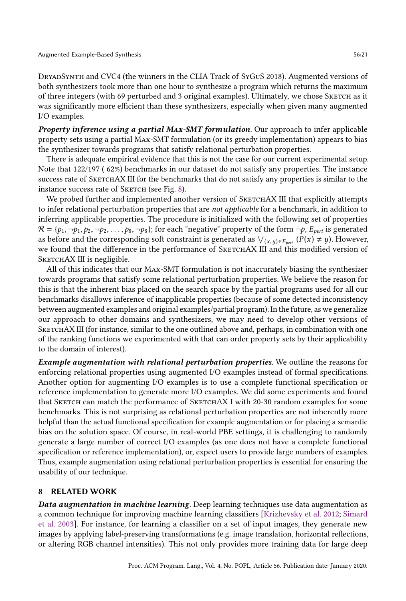DryadSynth and CVC4 (the winners in the CLIA Track of SyGuS 2018). Augmented versions of both synthesizers took more than one hour to synthesize a program which returns the maximum of three integers (with 69 perturbed and 3 original examples). Ultimately, we chose Sketch as it was significantly more efficient than these synthesizers, especially when given many augmented I/O examples.

Property inference using a partial MAX-SMT formulation. Our approach to infer applicable property sets using a partial Max-SMT formulation (or its greedy implementation) appears to bias the synthesizer towards programs that satisfy relational perturbation properties.

There is adequate empirical evidence that this is not the case for our current experimental setup. Note that 122/197 ( 62%) benchmarks in our dataset do not satisfy any properties. The instance success rate of SKETCHAX III for the benchmarks that do not satisfy any properties is similar to the instance success rate of SKETCH (see Fig. [8\)](#page-18-0).

We probed further and implemented another version of SKETCHAX III that explicitly attempts to infer relational perturbation properties that are not applicable for a benchmark, in addition to inferring applicable properties. The procedure is initialized with the following set of properties  $\mathcal{R} = \{p_1, \neg p_1, p_2, \neg p_2, \dots, p_8, \neg p_8\}$ ; for each "negative" property of the form  $\neg p$ ,  $E_{pert}$  is generated as before and the corresponding soft constraint is generated as  $\bigvee_{(x,y)\in E_{pert}}(P(x) \neq y)$ . However, we found that the difference in the performance of SKETCHAX III and this modified version of SKETCHAX III is negligible.

All of this indicates that our Max-SMT formulation is not inaccurately biasing the synthesizer towards programs that satisfy some relational perturbation properties. We believe the reason for this is that the inherent bias placed on the search space by the partial programs used for all our benchmarks disallows inference of inapplicable properties (because of some detected inconsistency between augmented examples and original examples/partial program). In the future, as we generalize our approach to other domains and synthesizers, we may need to develop other versions of SKETCHAX III (for instance, similar to the one outlined above and, perhaps, in combination with one of the ranking functions we experimented with that can order property sets by their applicability to the domain of interest).

Example augmentation with relational perturbation properties. We outline the reasons for enforcing relational properties using augmented I/O examples instead of formal specifications. Another option for augmenting I/O examples is to use a complete functional specification or reference implementation to generate more I/O examples. We did some experiments and found that SKETCH can match the performance of SKETCHAX I with 20-30 random examples for some benchmarks. This is not surprising as relational perturbation properties are not inherently more helpful than the actual functional specification for example augmentation or for placing a semantic bias on the solution space. Of course, in real-world PBE settings, it is challenging to randomly generate a large number of correct I/O examples (as one does not have a complete functional specification or reference implementation), or, expect users to provide large numbers of examples. Thus, example augmentation using relational perturbation properties is essential for ensuring the usability of our technique.

# 8 RELATED WORK

Data augmentation in machine learning. Deep learning techniques use data augmentation as a common technique for improving machine learning classifiers [\[Krizhevsky et al.](#page-23-12) [2012;](#page-23-12) [Simard](#page-23-13) [et al.](#page-23-13) [2003\]](#page-23-13). For instance, for learning a classifier on a set of input images, they generate new images by applying label-preserving transformations (e.g. image translation, horizontal reflections, or altering RGB channel intensities). This not only provides more training data for large deep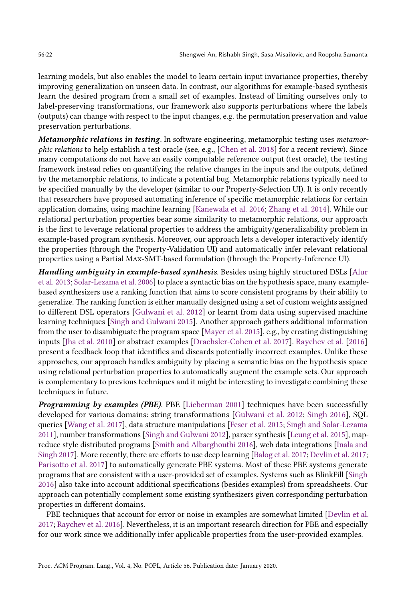learning models, but also enables the model to learn certain input invariance properties, thereby improving generalization on unseen data. In contrast, our algorithms for example-based synthesis learn the desired program from a small set of examples. Instead of limiting ourselves only to label-preserving transformations, our framework also supports perturbations where the labels (outputs) can change with respect to the input changes, e.g. the permutation preservation and value preservation perturbations.

Metamorphic relations in testing. In software engineering, metamorphic testing uses metamorphic relations to help establish a test oracle (see, e.g., [\[Chen et al. 2018\]](#page-22-7) for a recent review). Since many computations do not have an easily computable reference output (test oracle), the testing framework instead relies on quantifying the relative changes in the inputs and the outputs, defined by the metamorphic relations, to indicate a potential bug. Metamorphic relations typically need to be specified manually by the developer (similar to our Property-Selection UI). It is only recently that researchers have proposed automating inference of specific metamorphic relations for certain application domains, using machine learning [\[Kanewala et al.](#page-23-15) [2016;](#page-23-15) [Zhang et al.](#page-23-16) [2014\]](#page-23-16). While our relational perturbation properties bear some similarity to metamorphic relations, our approach is the first to leverage relational properties to address the ambiguity/generalizability problem in example-based program synthesis. Moreover, our approach lets a developer interactively identify the properties (through the Property-Validation UI) and automatically infer relevant relational properties using a Partial Max-SMT-based formulation (through the Property-Inference UI).

Handling ambiguity in example-based synthesis. Besides using highly structured DSLs [\[Alur](#page-22-1) [et al.](#page-22-1) [2013;](#page-22-1) [Solar-Lezama et al.](#page-23-8) [2006\]](#page-23-8) to place a syntactic bias on the hypothesis space, many examplebased synthesizers use a ranking function that aims to score consistent programs by their ability to generalize. The ranking function is either manually designed using a set of custom weights assigned to different DSL operators [\[Gulwani et al.](#page-23-1) [2012\]](#page-23-1) or learnt from data using supervised machine learning techniques [\[Singh and Gulwani 2015\]](#page-23-9). Another approach gathers additional information from the user to disambiguate the program space [\[Mayer et al.](#page-23-10) [2015\]](#page-23-10), e.g., by creating distinguishing inputs [\[Jha et al.](#page-23-17) [2010\]](#page-23-17) or abstract examples [\[Drachsler-Cohen et al.](#page-22-2) [2017\]](#page-22-2). [Raychev et al.](#page-23-18) [\[2016\]](#page-23-18) present a feedback loop that identifies and discards potentially incorrect examples. Unlike these approaches, our approach handles ambiguity by placing a semantic bias on the hypothesis space using relational perturbation properties to automatically augment the example sets. Our approach is complementary to previous techniques and it might be interesting to investigate combining these techniques in future.

Programming by examples (PBE). PBE [\[Lieberman 2001\]](#page-23-19) techniques have been successfully developed for various domains: string transformations [\[Gulwani et al.](#page-23-1) [2012;](#page-23-1) [Singh 2016\]](#page-23-20), SQL queries [\[Wang et al.](#page-23-14) [2017\]](#page-23-14), data structure manipulations [\[Feser et al.](#page-22-0) [2015;](#page-22-0) [Singh and Solar-Lezama](#page-23-5) [2011\]](#page-23-5), number transformations [\[Singh and Gulwani 2012\]](#page-23-4), parser synthesis [\[Leung et al.](#page-23-3) [2015\]](#page-23-3), mapreduce style distributed programs [\[Smith and Albarghouthi 2016\]](#page-23-6), web data integrations [\[Inala and](#page-23-21) [Singh 2017\]](#page-23-21). More recently, there are efforts to use deep learning [\[Balog et al.](#page-22-8) [2017;](#page-22-8) [Devlin et al.](#page-22-9) [2017;](#page-22-9) [Parisotto et al.](#page-23-22) [2017\]](#page-23-22) to automatically generate PBE systems. Most of these PBE systems generate programs that are consistent with a user-provided set of examples. Systems such as BlinkFill [\[Singh](#page-23-20) [2016\]](#page-23-20) also take into account additional specifications (besides examples) from spreadsheets. Our approach can potentially complement some existing synthesizers given corresponding perturbation properties in different domains.

PBE techniques that account for error or noise in examples are somewhat limited [\[Devlin et al.](#page-22-9) [2017;](#page-22-9) [Raychev et al.](#page-23-18) [2016\]](#page-23-18). Nevertheless, it is an important research direction for PBE and especially for our work since we additionally infer applicable properties from the user-provided examples.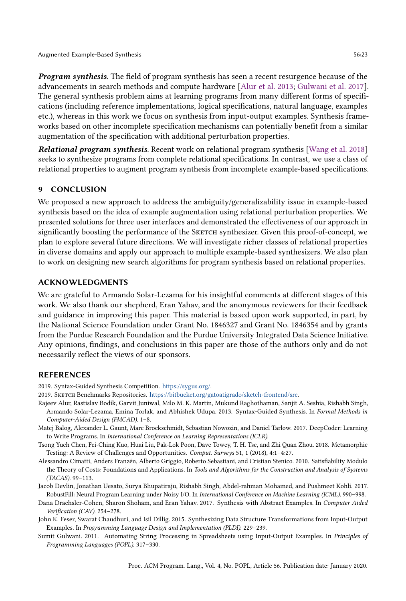Program synthesis. The field of program synthesis has seen a recent resurgence because of the advancements in search methods and compute hardware [\[Alur et al.](#page-22-1) [2013;](#page-22-1) [Gulwani et al.](#page-23-23) [2017\]](#page-23-23). The general synthesis problem aims at learning programs from many different forms of specifications (including reference implementations, logical specifications, natural language, examples etc.), whereas in this work we focus on synthesis from input-output examples. Synthesis frameworks based on other incomplete specification mechanisms can potentially benefit from a similar augmentation of the specification with additional perturbation properties.

Relational program synthesis. Recent work on relational program synthesis [\[Wang et al.](#page-23-24) [2018\]](#page-23-24) seeks to synthesize programs from complete relational specifications. In contrast, we use a class of relational properties to augment program synthesis from incomplete example-based specifications.

# 9 CONCLUSION

We proposed a new approach to address the ambiguity/generalizability issue in example-based synthesis based on the idea of example augmentation using relational perturbation properties. We presented solutions for three user interfaces and demonstrated the effectiveness of our approach in significantly boosting the performance of the SKETCH synthesizer. Given this proof-of-concept, we plan to explore several future directions. We will investigate richer classes of relational properties in diverse domains and apply our approach to multiple example-based synthesizers. We also plan to work on designing new search algorithms for program synthesis based on relational properties.

# ACKNOWLEDGMENTS

We are grateful to Armando Solar-Lezama for his insightful comments at different stages of this work. We also thank our shepherd, Eran Yahav, and the anonymous reviewers for their feedback and guidance in improving this paper. This material is based upon work supported, in part, by the National Science Foundation under Grant No. 1846327 and Grant No. 1846354 and by grants from the Purdue Research Foundation and the Purdue University Integrated Data Science Initiative. Any opinions, findings, and conclusions in this paper are those of the authors only and do not necessarily reflect the views of our sponsors.

## REFERENCES

- <span id="page-22-6"></span>2019. Syntax-Guided Synthesis Competition. [https://sygus.org/.](https://sygus.org/)
- <span id="page-22-5"></span>2019. Sketch Benchmarks Repositories. [https://bitbucket.org/gatoatigrado/sketch-frontend/src.](https://bitbucket.org/gatoatigrado/sketch-frontend/src)
- <span id="page-22-1"></span>Rajeev Alur, Rastislav Bodík, Garvit Juniwal, Milo M. K. Martin, Mukund Raghothaman, Sanjit A. Seshia, Rishabh Singh, Armando Solar-Lezama, Emina Torlak, and Abhishek Udupa. 2013. Syntax-Guided Synthesis. In Formal Methods in Computer-Aided Design (FMCAD). 1-8.
- <span id="page-22-8"></span>Matej Balog, Alexander L. Gaunt, Marc Brockschmidt, Sebastian Nowozin, and Daniel Tarlow. 2017. DeepCoder: Learning to Write Programs. In International Conference on Learning Representations (ICLR).
- <span id="page-22-7"></span>Tsong Yueh Chen, Fei-Ching Kuo, Huai Liu, Pak-Lok Poon, Dave Towey, T. H. Tse, and Zhi Quan Zhou. 2018. Metamorphic Testing: A Review of Challenges and Opportunities. Comput. Surveys 51, 1 (2018), 4:1-4:27.
- <span id="page-22-3"></span>Alessandro Cimatti, Anders Franzén, Alberto Griggio, Roberto Sebastiani, and Cristian Stenico. 2010. Satisfiability Modulo the Theory of Costs: Foundations and Applications. In Tools and Algorithms for the Construction and Analysis of Systems (TACAS). 99-113.
- <span id="page-22-9"></span>Jacob Devlin, Jonathan Uesato, Surya Bhupatiraju, Rishabh Singh, Abdel-rahman Mohamed, and Pushmeet Kohli. 2017. RobustFill: Neural Program Learning under Noisy I/O. In International Conference on Machine Learning (ICML). 990-998.
- <span id="page-22-2"></span>Dana Drachsler-Cohen, Sharon Shoham, and Eran Yahav. 2017. Synthesis with Abstract Examples. In Computer Aided Verification (CAV). 254-278.
- <span id="page-22-0"></span>John K. Feser, Swarat Chaudhuri, and Isil Dillig. 2015. Synthesizing Data Structure Transformations from Input-Output Examples. In Programming Language Design and Implementation (PLDI). 229-239.
- <span id="page-22-4"></span>Sumit Gulwani. 2011. Automating String Processing in Spreadsheets using Input-Output Examples. In Principles of Programming Languages (POPL). 317-330.